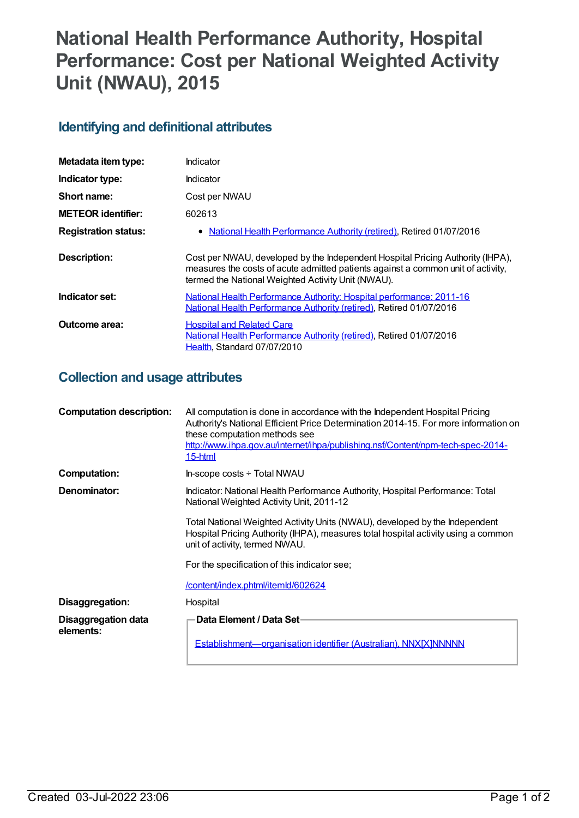# **National Health Performance Authority, Hospital Performance: Cost per National Weighted Activity Unit (NWAU), 2015**

## **Identifying and definitional attributes**

| Metadata item type:         | Indicator                                                                                                                                                                                                                |  |
|-----------------------------|--------------------------------------------------------------------------------------------------------------------------------------------------------------------------------------------------------------------------|--|
| Indicator type:             | Indicator                                                                                                                                                                                                                |  |
| Short name:                 | Cost per NWAU                                                                                                                                                                                                            |  |
| <b>METEOR identifier:</b>   | 602613                                                                                                                                                                                                                   |  |
| <b>Registration status:</b> | • National Health Performance Authority (retired), Retired 01/07/2016                                                                                                                                                    |  |
| <b>Description:</b>         | Cost per NWAU, developed by the Independent Hospital Pricing Authority (IHPA),<br>measures the costs of acute admitted patients against a common unit of activity,<br>termed the National Weighted Activity Unit (NWAU). |  |
| Indicator set:              | <b>National Health Performance Authority: Hospital performance: 2011-16</b><br>National Health Performance Authority (retired), Retired 01/07/2016                                                                       |  |
| Outcome area:               | <b>Hospital and Related Care</b><br>National Health Performance Authority (retired), Retired 01/07/2016<br>Health, Standard 07/07/2010                                                                                   |  |

## **Collection and usage attributes**

| <b>Computation description:</b>  | All computation is done in accordance with the Independent Hospital Pricing<br>Authority's National Efficient Price Determination 2014-15. For more information on<br>these computation methods see<br>http://www.ihpa.gov.au/internet/ihpa/publishing.nsf/Content/npm-tech-spec-2014-<br>15-html |
|----------------------------------|---------------------------------------------------------------------------------------------------------------------------------------------------------------------------------------------------------------------------------------------------------------------------------------------------|
| <b>Computation:</b>              | In-scope costs ÷ Total NWAU                                                                                                                                                                                                                                                                       |
| Denominator:                     | Indicator: National Health Performance Authority, Hospital Performance: Total<br>National Weighted Activity Unit, 2011-12                                                                                                                                                                         |
|                                  | Total National Weighted Activity Units (NWAU), developed by the Independent<br>Hospital Pricing Authority (IHPA), measures total hospital activity using a common<br>unit of activity, termed NWAU.                                                                                               |
|                                  | For the specification of this indicator see;                                                                                                                                                                                                                                                      |
|                                  | <u>/content/index.phtml/itemld/602624</u>                                                                                                                                                                                                                                                         |
| Disaggregation:                  | Hospital                                                                                                                                                                                                                                                                                          |
| Disaggregation data<br>elements: | Data Element / Data Set-                                                                                                                                                                                                                                                                          |
|                                  | Establishment-organisation identifier (Australian), NNX[X]NNNNN                                                                                                                                                                                                                                   |